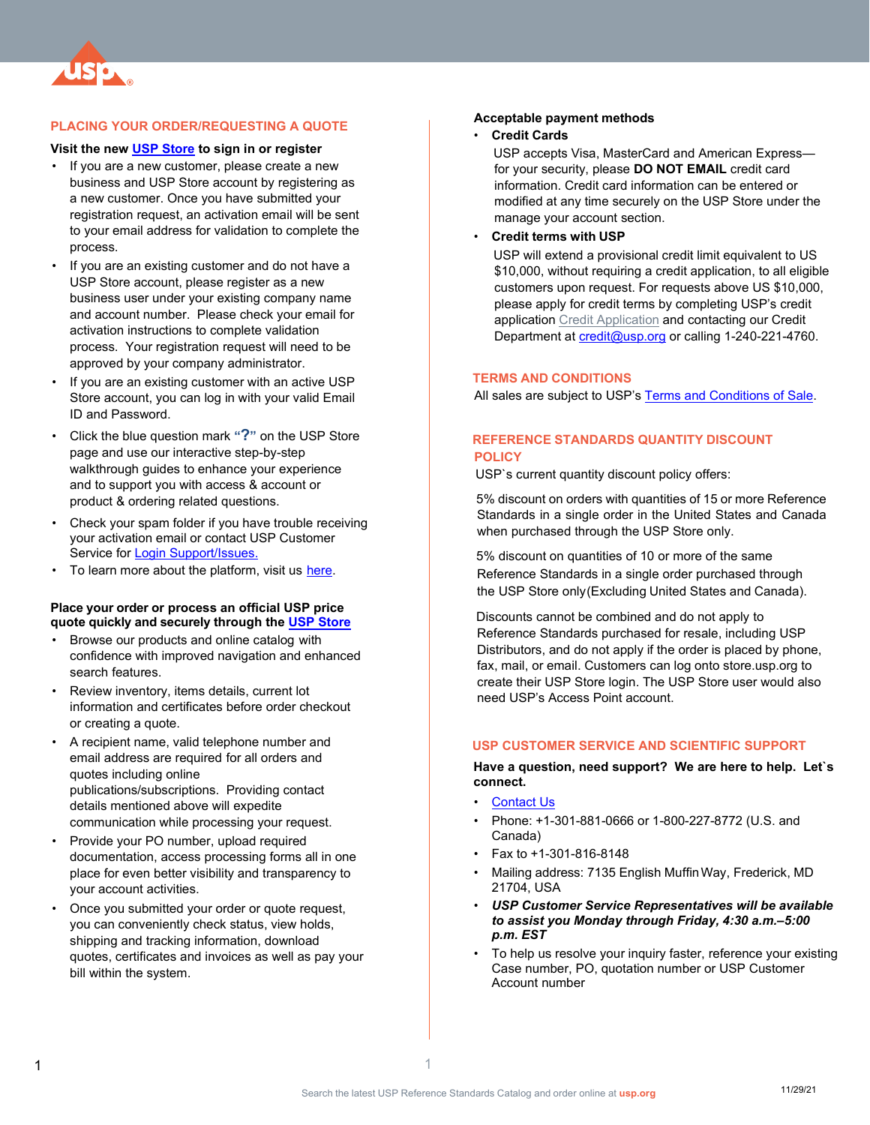

# **PLACING YOUR ORDER/REQUESTING A QUOTE**

# **Visit the new [USP Store](https://store.usp.org/home) to sign in or register**

- If you are a new customer, please create a new business and USP Store account by registering as a new customer. Once you have submitted your registration request, an activation email will be sent to your email address for validation to complete the process.
- If you are an existing customer and do not have a USP Store account, please register as a new business user under your existing company name and account number. Please check your email for activation instructions to complete validation process. Your registration request will need to be approved by your company administrator.
- If you are an existing customer with an active USP Store account, you can log in with your valid Email ID and Password.
- Click the blue question mark **"?"** on the USP Store page and use our interactive step-by-step walkthrough guides to enhance your experience and to support you with access & account or product & ordering related questions.
- Check your spam folder if you have trouble receiving your activation email or contact USP Customer Service for [Login Support/Issues.](https://uspharm.force.com/WebForm/s/webform)
- To learn more about the platform, visit us [here.](https://www.usp.org/products-services/new-usp-store)

#### **Place your order or process an official USP price quote quickly and securely through the [USP Store](https://store.usp.org/home)**

- Browse our products and online catalog with confidence with improved navigation and enhanced search features.
- Review inventory, items details, current lot information and certificates before order checkout or creating a quote.
- A recipient name, valid telephone number and email address are required for all orders and quotes including online publications/subscriptions. Providing contact details mentioned above will expedite communication while processing your request.
- Provide your PO number, upload required documentation, access processing forms all in one place for even better visibility and transparency to your account activities.
- Once you submitted your order or quote request, you can conveniently check status, view holds, shipping and tracking information, download quotes, certificates and invoices as well as pay your bill within the system.

#### **Acceptable payment methods**

#### • **Credit Cards**

USP accepts Visa, MasterCard and American Express for your security, please **DO NOT EMAIL** credit card information. Credit card information can be entered or modified at any time securely on the USP Store under the manage your account section.

• **Credit terms with USP**

USP will extend a provisional credit limit equivalent to US \$10,000, without requiring a credit application, to all eligible customers upon request. For requests above US \$10,000, please apply for credit terms by completing USP's credit applicatio[n Credit Application](https://www.usp.org/sites/default/files/usp/document/credit-application.pdf) [an](https://www.usp.org/sites/default/files/usp/document/credit-application.pdf)d contacting our Credit Department at [credit@usp.org](mailto:credit@usp.org) or calling 1-240-221-4760.

#### **TERMS AND CONDITIONS**

All sales are subject to USP's [Terms and Conditions of Sale.](https://www.usp.org/sites/default/files/usp/document/help/terms-of-sale.pdf)

# **REFERENCE STANDARDS QUANTITY DISCOUNT POLICY**

USP`s current quantity discount policy offers:

5% discount on orders with quantities of 15 or more Reference Standards in a single order in the United States and Canada when purchased through the USP Store only.

5% discount on quantities of 10 or more of the same Reference Standards in a single order purchased through the USP Store only(Excluding United States and Canada).

Discounts cannot be combined and do not apply to Reference Standards purchased for resale, including USP Distributors, and do not apply if the order is placed by phone, fax, mail, or email. Customers can log onto store.usp.org to create their USP Store login. The USP Store user would also need USP's Access Point account.

### **USP CUSTOMER SERVICE AND SCIENTIFIC SUPPORT**

**Have a question, need support? We are here to help. Let`s connect.**

- **[Contact Us](https://uspharm.force.com/WebForm/s/webform)**
- Phone: +1-301-881-0666 or 1-800-227-8772 (U.S. and Canada)
- Fax to +1-301-816-8148
- Mailing address: 7135 English MuffinWay, Frederick, MD 21704, USA
- *USP Customer Service Representatives will be available to assist you Monday through Friday, 4:30 a.m.–5:00 p.m. EST*
- To help us resolve your inquiry faster, reference your existing Case number, PO, quotation number or USP Customer Account number

1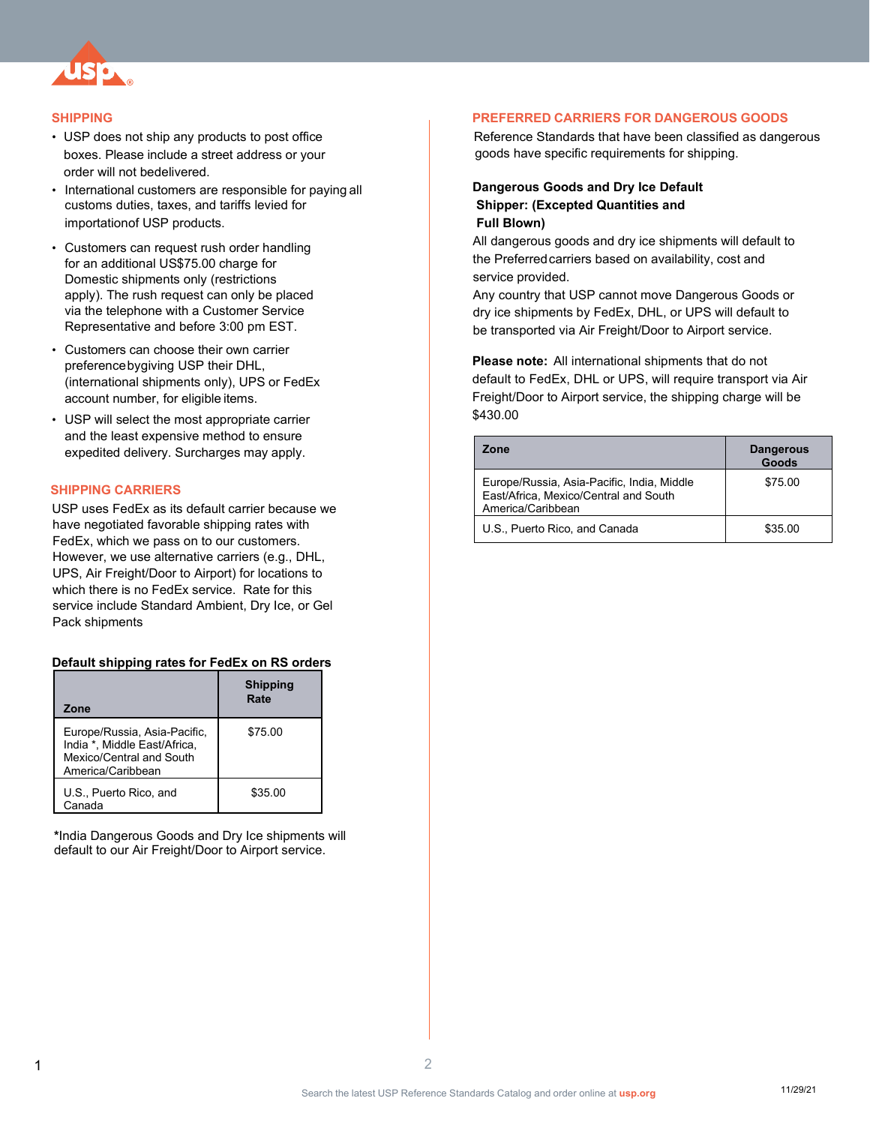

### **SHIPPING**

- USP does not ship any products to post office boxes. Please include a street address or your order will not bedelivered.
- International customers are responsible for paying all customs duties, taxes, and tariffs levied for importationof USP products.
- Customers can request rush order handling for an additional US\$75.00 charge for Domestic shipments only (restrictions apply). The rush request can only be placed via the telephone with a Customer Service Representative and before 3:00 pm EST.
- Customers can choose their own carrier preferencebygiving USP their DHL, (international shipments only), UPS or FedEx account number, for eligible items.
- USP will select the most appropriate carrier and the least expensive method to ensure expedited delivery. Surcharges may apply.

### **SHIPPING CARRIERS**

USP uses FedEx as its default carrier because we have negotiated favorable shipping rates with FedEx, which we pass on to our customers. However, we use alternative carriers (e.g., DHL, UPS, Air Freight/Door to Airport) for locations to which there is no FedEx service. Rate for this service include Standard Ambient, Dry Ice, or Gel Pack shipments

### **Default shipping rates for FedEx on RS orders**

| Zone                                                                                                          | <b>Shipping</b><br>Rate |
|---------------------------------------------------------------------------------------------------------------|-------------------------|
| Europe/Russia, Asia-Pacific,<br>India *, Middle East/Africa,<br>Mexico/Central and South<br>America/Caribbean | \$75.00                 |
| U.S., Puerto Rico, and<br>Canada                                                                              | \$35.00                 |

**\***India Dangerous Goods and Dry Ice shipments will default to our Air Freight/Door to Airport service.

### **PREFERRED CARRIERS FOR DANGEROUS GOODS**

Reference Standards that have been classified as dangerous goods have specific requirements for shipping.

## **Dangerous Goods and Dry Ice Default Shipper: (Excepted Quantities and Full Blown)**

All dangerous goods and dry ice shipments will default to the Preferred carriers based on availability, cost and service provided.

Any country that USP cannot move Dangerous Goods or dry ice shipments by FedEx, DHL, or UPS will default to be transported via Air Freight/Door to Airport service.

**Please note:** All international shipments that do not default to FedEx, DHL or UPS, will require transport via Air Freight/Door to Airport service, the shipping charge will be \$430.00

| Zone                                                                                                     | <b>Dangerous</b><br>Goods |
|----------------------------------------------------------------------------------------------------------|---------------------------|
| Europe/Russia, Asia-Pacific, India, Middle<br>East/Africa, Mexico/Central and South<br>America/Caribbean | \$75.00                   |
| U.S., Puerto Rico, and Canada                                                                            | \$35.00                   |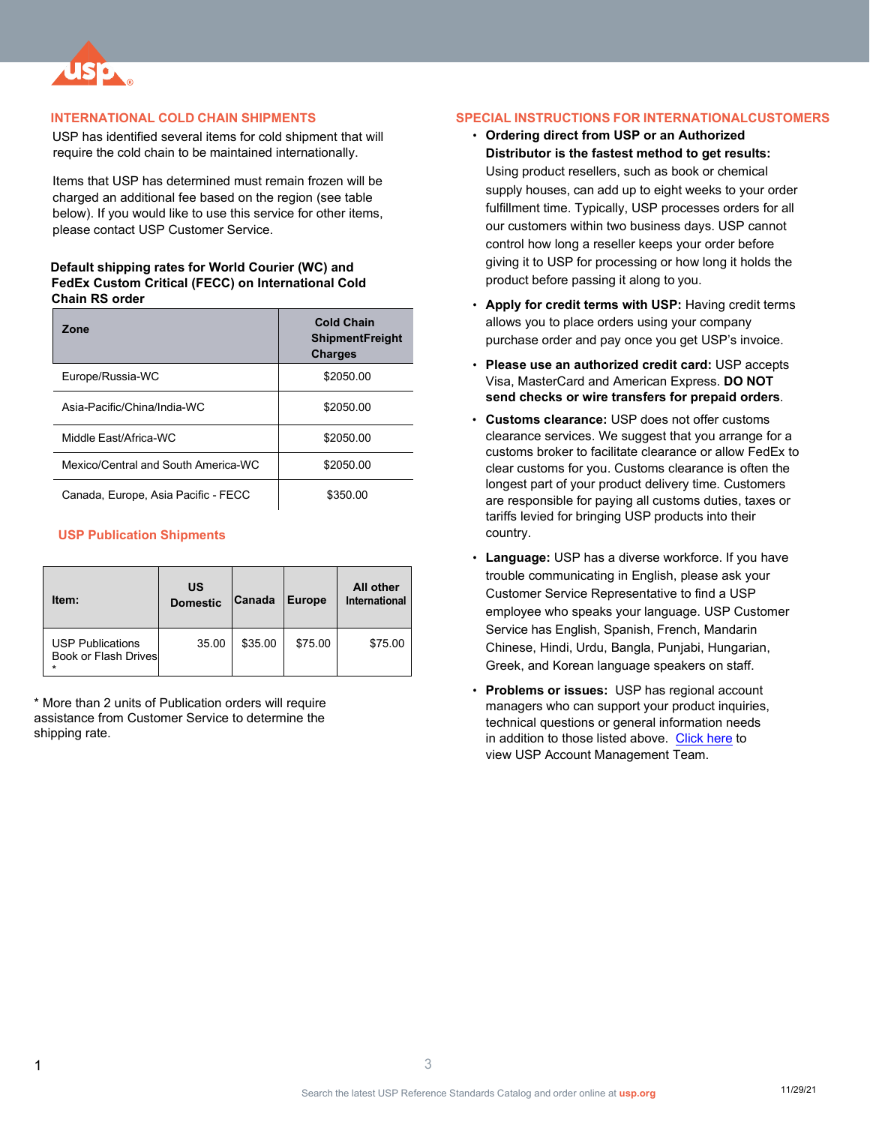

## **INTERNATIONAL COLD CHAIN SHIPMENTS**

USP has identified several items for cold shipment that will require the cold chain to be maintained internationally.

Items that USP has determined must remain frozen will be charged an additional fee based on the region (see table below). If you would like to use this service for other items, please contact USP Customer Service.

### **Default shipping rates for World Courier (WC) and FedEx Custom Critical (FECC) on International Cold Chain RS order**

| Zone                                | <b>Cold Chain</b><br><b>ShipmentFreight</b><br><b>Charges</b> |  |
|-------------------------------------|---------------------------------------------------------------|--|
| Europe/Russia-WC                    | \$2050.00                                                     |  |
| Asia-Pacific/China/India-WC         | \$2050.00                                                     |  |
| Middle Fast/Africa-WC               | \$2050.00                                                     |  |
| Mexico/Central and South America-WC | \$2050.00                                                     |  |
| Canada, Europe, Asia Pacific - FECC | \$350.00                                                      |  |

## **USP Publication Shipments**

| Item:                                                | US<br><b>Domestic</b> | Canada  | <b>Europe</b> | All other<br>International |
|------------------------------------------------------|-----------------------|---------|---------------|----------------------------|
| <b>USP Publications</b><br>Book or Flash Drives<br>÷ | 35.00                 | \$35.00 | \$75.00       | \$75.00                    |

\* More than 2 units of Publication orders will require assistance from Customer Service to determine the shipping rate.

# **SPECIAL INSTRUCTIONS FOR INTERNATIONALCUSTOMERS**

- **Ordering direct from USP or an Authorized Distributor is the fastest method to get results:** Using product resellers, such as book or chemical supply houses, can add up to eight weeks to your order fulfillment time. Typically, USP processes orders for all our customers within two business days. USP cannot control how long a reseller keeps your order before giving it to USP for processing or how long it holds the product before passing it along to you.
- **Apply for credit terms with USP:** Having credit terms allows you to place orders using your company purchase order and pay once you get USP's invoice.
- **Please use an authorized credit card:** USP accepts Visa, MasterCard and American Express. **DO NOT send checks or wire transfers for prepaid orders**.
- **Customs clearance:** USP does not offer customs clearance services. We suggest that you arrange for a customs broker to facilitate clearance or allow FedEx to clear customs for you. Customs clearance is often the longest part of your product delivery time. Customers are responsible for paying all customs duties, taxes or tariffs levied for bringing USP products into their country.
- **Language:** USP has a diverse workforce. If you have trouble communicating in English, please ask your Customer Service Representative to find a USP employee who speaks your language. USP Customer Service has English, Spanish, French, Mandarin Chinese, Hindi, Urdu, Bangla, Punjabi, Hungarian, Greek, and Korean language speakers on staff.
- **Problems or issues:** USP has regional account managers who can support your product inquiries, technical questions or general information needs in addition to those listed above. [Click here](https://www.usp.org/sites/default/files/usp/document/help/technical-services-and-account-managers.pdf) to view USP Account Management Team.